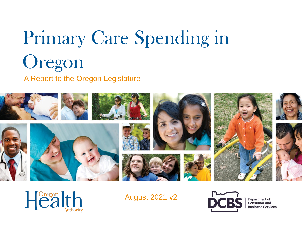# Primary Care Spending in Oregon

## A Report to the Oregon Legislature





August 2021 v2



Department of **Consumer** and **Business Services**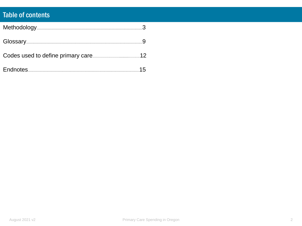## **Table of contents**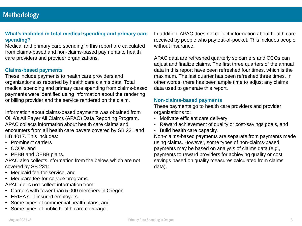#### **What's included in total medical spending and primary care spending?**

Medical and primary care spending in this report are calculated from claims-based and non-claims-based payments to health care providers and provider organizations.

#### **Claims-based payments**

These include payments to health care providers and organizations as reported by health care claims data. Total medical spending and primary care spending from claims-based payments were identified using information about the rendering or billing provider and the service rendered on the claim.

Information about claims-based payments was obtained from OHA's All Payer All Claims (APAC) Data Reporting Program. APAC collects information about health care claims and encounters from all health care payers covered by SB 231 and HB 4017. This includes:

- Prominent carriers
- CCOs, and
- PEBB and OEBB plans.

APAC also collects information from the below, which are not covered by SB 231:

- Medicaid fee-for-service, and
- Medicare fee-for-service programs.

APAC does **not** collect information from:

- Carriers with fewer than 5,000 members in Oregon
- ERISA self-insured employers
- Some types of commercial health plans, and
- Some types of public health care coverage.

In addition, APAC does not collect information about health care received by people who pay out-of-pocket. This includes people without insurance.

APAC data are refreshed quarterly so carriers and CCOs can adjust and finalize claims. The first three quarters of the annual data in this report have been refreshed four times, which is the maximum. The last quarter has been refreshed three times. In other words, there has been ample time to adjust any claims data used to generate this report.

#### **Non-claims-based payments**

These payments go to health care providers and provider organizations to:

- Motivate efficient care delivery
- Reward achievement of quality or cost-savings goals, and
- Build health care capacity.

Non-claims-based payments are separate from payments made using claims. However, some types of non-claims-based payments may be based on analysis of claims data (e.g., payments to reward providers for achieving quality or cost savings based on quality measures calculated from claims data).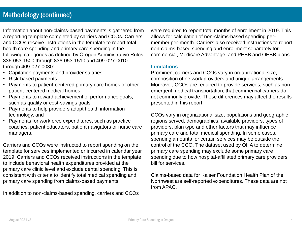Information about non-claims-based payments is gathered from a reporting template completed by carriers and CCOs. Carriers and CCOs receive instructions in the template to report total health care spending and primary care spending in the following categories as defined by Oregon Administrative Rules 836-053-1500 through 836-053-1510 and 409-027-0010 through 409-027-0030:

- Capitation payments and provider salaries
- Risk-based payments
- Payments to patient-centered primary care homes or other patient-centered medical homes
- Payments to reward achievement of performance goals, such as quality or cost-savings goals
- Payments to help providers adopt health information technology, and
- Payments for workforce expenditures, such as practice coaches, patient educators, patient navigators or nurse care managers.

Carriers and CCOs were instructed to report spending on the template for services implemented or incurred in calendar year 2019. Carriers and CCOs received instructions in the template to include behavioral health expenditures provided at the primary care clinic level and exclude dental spending. This is consistent with criteria to identify total medical spending and primary care spending from claims-based payments.

In addition to non-claims-based spending, carriers and CCOs

were required to report total months of enrollment in 2019. This allows for calculation of non-claims-based spending permember per-month. Carriers also received instructions to report non-claims-based spending and enrollment separately for commercial, Medicare Advantage, and PEBB and OEBB plans.

#### **Limitations**

Prominent carriers and CCOs vary in organizational size, composition of network providers and unique arrangements. Moreover, CCOs are required to provide services, such as nonemergent medical transportation, that commercial carriers do not commonly provide. These differences may affect the results presented in this report.

CCOs vary in organizational size, populations and geographic regions served, demographics, available providers, types of providers, plan type and other factors that may influence primary care and total medical spending. In some cases, spending amounts for certain services may be outside the control of the CCO. The dataset used by OHA to determine primary care spending may exclude some primary care spending due to how hospital-affiliated primary care providers bill for services.

Claims-based data for Kaiser Foundation Health Plan of the Northwest are self-reported expenditures. These data are not from APAC.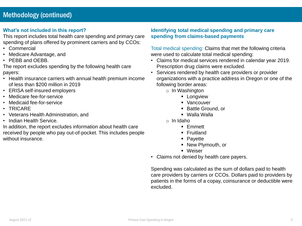#### **What's not included in this report?**

This report includes total health care spending and primary care spending of plans offered by prominent carriers and by CCOs:

- Commercial
- Medicare Advantage, and
- PEBB and OEBB.

The report excludes spending by the following health care payers:

- Health insurance carriers with annual health premium income of less than \$200 million in 2019
- ERISA self-insured employers
- Medicare fee-for-service
- Medicaid fee-for-service
- TRICARE
- Veterans Health Administration, and
- Indian Health Service.

In addition, the report excludes information about health care received by people who pay out-of-pocket. This includes people without insurance.

#### **Identifying total medical spending and primary care spending from claims-based payments**

#### Total medical spending: Claims that met the following criteria were used to calculate total medical spending:

- Claims for medical services rendered in calendar year 2019. Prescription drug claims were excluded.
- Services rendered by health care providers or provider organizations with a practice address in Oregon or one of the following border areas:
	- o In Washington
		- **•** Longview
		- Vancouver
		- Battle Ground, or
		- Walla Walla
	- o In Idaho
		- Emmett
		- Fruitland
		- Payette
		- New Plymouth, or
		- Weiser
- Claims not denied by health care payers.

Spending was calculated as the sum of dollars paid to health care providers by carriers or CCOs. Dollars paid to providers by patients in the forms of a copay, coinsurance or deductible were excluded.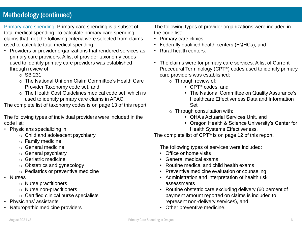## Methodology (continued)

Primary care spending: Primary care spending is a subset of total medical spending. To calculate primary care spending, claims that met the following criteria were selected from claims used to calculate total medical spending:

- Providers or provider organizations that rendered services as primary care providers. A list of provider taxonomy codes used to identify primary care providers was established through review of:
	- o SB 231
	- o The National Uniform Claim Committee's Health Care Provider Taxonomy code set, and
	- o The Health Cost Guidelines medical code set, which is used to identify primary care claims in APAC.

The complete list of taxonomy codes is on page 13 of this report.

The following types of individual providers were included in the code list:

- Physicians specializing in:
	- o Child and adolescent psychiatry
	- o Family medicine
	- o General medicine
	- o General psychiatry
	- o Geriatric medicine
	- o Obstetrics and gynecology
	- o Pediatrics or preventive medicine
- Nurses
	- o Nurse practitioners
	- o Nurse non-practitioners
	- o Certified clinical nurse specialists
- Physicians' assistants
- Naturopathic medicine providers

The following types of provider organizations were included in the code list:

- Primary care clinics
- Federally qualified health centers (FQHCs), and
- Rural health centers.
- The claims were for primary care services. A list of Current Procedural Terminology (CPT®) codes used to identify primary care providers was established:
	- o Through review of:
		- CPT<sup>®</sup> codes, and
		- The National Committee on Quality Assurance's Healthcare Effectiveness Data and Information Set
	- $\circ$  Through consultation with:
		- OHA's Actuarial Services Unit, and
		- Oregon Health & Science University's Center for Health Systems Effectiveness.

The complete list of CPT<sup>®</sup> is on page 12 of this report.

The following types of services were included:

- Office or home visits
- General medical exams
- Routine medical and child health exams
- Preventive medicine evaluation or counseling
- Administration and interpretation of health risk assessments
- Routine obstetric care excluding delivery (60 percent of payment amount reported on claims is included to represent non-delivery services), and
- Other preventive medicine.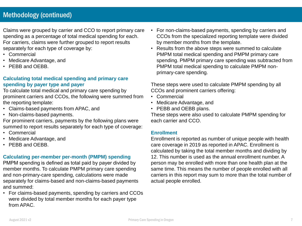## Methodology (continued)

Claims were grouped by carrier and CCO to report primary care spending as a percentage of total medical spending for each. For carriers, claims were further grouped to report results separately for each type of coverage by:

- Commercial
- Medicare Advantage, and
- PEBB and OEBB.

#### **Calculating total medical spending and primary care spending by payer type and payer**

To calculate total medical and primary care spending by prominent carriers and CCOs, the following were summed from the reporting template:

- Claims-based payments from APAC, and
- Non-claims-based payments.

For prominent carriers, payments by the following plans were summed to report results separately for each type of coverage:

- Commercial
- Medicare Advantage, and
- PEBB and OEBB.

#### **Calculating per-member per-month (PMPM) spending**

PMPM spending is defined as total paid by payer divided by member months. To calculate PMPM primary care spending and non-primary-care spending, calculations were made separately for claims-based and non-claims-based payments and summed:

• For claims-based payments, spending by carriers and CCOs were divided by total member months for each payer type from APAC.

- For non-claims-based payments, spending by carriers and CCOs from the specialized reporting template were divided by member months from the template.
- Results from the above steps were summed to calculate PMPM total medical spending and PMPM primary care spending. PMPM primary care spending was subtracted from PMPM total medical spending to calculate PMPM nonprimary-care spending.

These steps were used to calculate PMPM spending by all CCOs and prominent carriers offering:

- Commercial
- Medicare Advantage, and
- PEBB and OEBB plans.

These steps were also used to calculate PMPM spending for each carrier and CCO.

#### **Enrollment**

Enrollment is reported as number of unique people with health care coverage in 2019 as reported in APAC. Enrollment is calculated by taking the total member months and dividing by 12. This number is used as the annual enrollment number. A person may be enrolled with more than one health plan at the same time. This means the number of people enrolled with all carriers in this report may sum to more than the total number of actual people enrolled.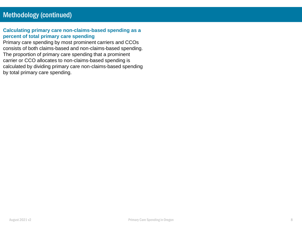#### **Calculating primary care non-claims-based spending as a percent of total primary care spending**

Primary care spending by most prominent carriers and CCOs consists of both claims-based and non-claims-based spending. The proportion of primary care spending that a prominent carrier or CCO allocates to non-claims-based spending is calculated by dividing primary care non-claims-based spending by total primary care spending.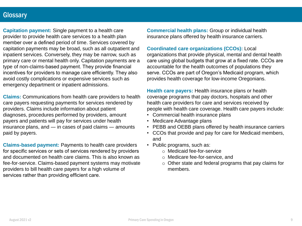## **Glossary**

**Capitation payment:** Single payment to a health care provider to provide health care services to a health plan member over a defined period of time. Services covered by capitation payments may be broad, such as all outpatient and inpatient services. Conversely, they may be narrow, such as primary care or mental health only. Capitation payments are a type of non-claims-based payment. They provide financial incentives for providers to manage care efficiently. They also avoid costly complications or expensive services such as emergency department or inpatient admissions.

**Claims:** Communications from health care providers to health care payers requesting payments for services rendered by providers. Claims include information about patient diagnoses, procedures performed by providers, amount payers and patients will pay for services under health insurance plans, and ― in cases of paid claims ― amounts paid by payers.

**Claims-based payment:** Payments to health care providers for specific services or sets of services rendered by providers and documented on health care claims. This is also known as fee-for-service. Claims-based payment systems may motivate providers to bill health care payers for a high volume of services rather than providing efficient care.

**Commercial health plans:** Group or individual health insurance plans offered by health insurance carriers.

#### **Coordinated care organizations (CCOs):** Local

organizations that provide physical, mental and dental health care using global budgets that grow at a fixed rate. CCOs are accountable for the health outcomes of populations they serve. CCOs are part of Oregon's Medicaid program, which provides health coverage for low-income Oregonians.

**Health care payers:** Health insurance plans or health coverage programs that pay doctors, hospitals and other health care providers for care and services received by people with health care coverage. Health care payers include:

- Commercial health insurance plans
- Medicare Advantage plans
- PEBB and OEBB plans offered by health insurance carriers
- CCOs that provide and pay for care for Medicaid members, and
- Public programs, such as:
	- o Medicaid fee-for-service
	- o Medicare fee-for-service, and
	- o Other state and federal programs that pay claims for members.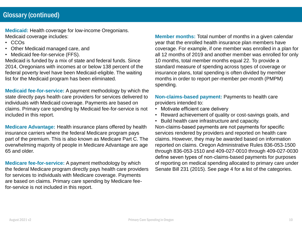## Glossary (continued)

**Medicaid:** Health coverage for low-income Oregonians. Medicaid coverage includes:

- CCOs
- Other Medicaid managed care, and
- Medicaid fee-for-service (FFS).

Medicaid is funded by a mix of state and federal funds. Since 2014, Oregonians with incomes at or below 138 percent of the federal poverty level have been Medicaid-eligible. The waiting list for the Medicaid program has been eliminated.

**Medicaid fee-for-service:** A payment methodology by which the state directly pays health care providers for services delivered to individuals with Medicaid coverage. Payments are based on claims. Primary care spending by Medicaid fee-for-service is not included in this report.

**Medicare Advantage:** Health insurance plans offered by health insurance carriers where the federal Medicare program pays part of the premium. This is also known as Medicare Part C. The overwhelming majority of people in Medicare Advantage are age 65 and older.

**Medicare fee-for-service:** A payment methodology by which the federal Medicare program directly pays health care providers for services to individuals with Medicare coverage. Payments are based on claims. Primary care spending by Medicare feefor-service is not included in this report.

**Member months:** Total number of months in a given calendar year that the enrolled health insurance plan members have coverage. For example, if one member was enrolled in a plan for all 12 months of 2019 and another member was enrolled for only 10 months, total member months equal 22. To provide a standard measure of spending across types of coverage or insurance plans, total spending is often divided by member months in order to report per-member per-month (PMPM) spending.

**Non-claims-based payment:** Payments to health care providers intended to:

- Motivate efficient care delivery
- Reward achievement of quality or cost-savings goals, and
- Build health care infrastructure and capacity. Non-claims-based payments are not payments for specific services rendered by providers and reported on health care claims. However, they may be awarded based on information reported on claims. Oregon Administrative Rules 836-053-1500 through 836-053-1510 and 409-027-0010 through 409-027-0030 define seven types of non-claims-based payments for purposes of reporting on medical spending allocated to primary care under Senate Bill 231 (2015). See page 4 for a list of the categories.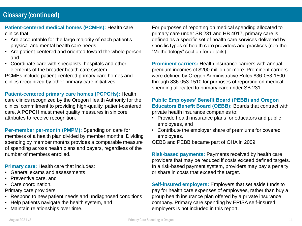## Glossary (continued)

**Patient-centered medical homes (PCMHs):** Health care clinics that:

- Are accountable for the large majority of each patient's physical and mental health care needs
- Are patient-centered and oriented toward the whole person, and
- Coordinate care with specialists, hospitals and other elements of the broader health care system.

PCMHs include patient-centered primary care homes and clinics recognized by other primary care initiatives.

**Patient-centered primary care homes (PCPCHs):** Health care clinics recognized by the Oregon Health Authority for the clinics' commitment to providing high-quality, patient-centered care. A PCPCH must meet quality measures in six core attributes to receive recognition.

**Per-member per-month (PMPM):** Spending on care for members of a health plan divided by member months. Dividing spending by member months provides a comparable measure of spending across health plans and payers, regardless of the number of members enrolled.

**Primary care:** Health care that includes:

- General exams and assessments
- Preventive care, and
- Care coordination.

Primary care providers:

- Respond to new patient needs and undiagnosed conditions
- Help patients navigate the health system, and
- Maintain relationships over time.

For purposes of reporting on medical spending allocated to primary care under SB 231 and HB 4017, primary care is defined as a specific set of health care services delivered by specific types of health care providers and practices (see the "Methodology" section for details).

**Prominent carriers: Health insurance carriers with annual** premium incomes of \$200 million or more. Prominent carriers were defined by Oregon Administrative Rules 836-053-1500 through 836-053-1510 for purposes of reporting on medical spending allocated to primary care under SB 231.

#### **Public Employees' Benefit Board (PEBB) and Oregon Educators Benefit Board (OEBB):** Boards that contract with private health insurance companies to:

- Provide health insurance plans for educators and public employees, and
- Contribute the employer share of premiums for covered employees.

OEBB and PEBB became part of OHA in 2009.

**Risk-based payments:** Payments received by health care providers that may be reduced if costs exceed defined targets. In a risk-based payment system, providers may pay a penalty or share in costs that exceed the target.

**Self-insured employers:** Employers that set aside funds to pay for health care expenses of employees, rather than buy a group health insurance plan offered by a private insurance company. Primary care spending by ERISA self-insured employers is not included in this report.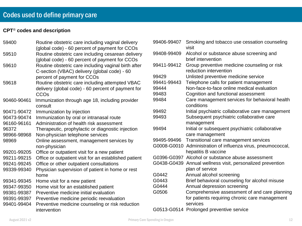#### **CPT**® **codes and description**

| 59400       | Routine obstetric care including vaginal delivery<br>(global code) - 60 percent of payment for CCOs  | 9940 |
|-------------|------------------------------------------------------------------------------------------------------|------|
| 59510       | Routine obstetric care including cesarean delivery<br>(global code) - 60 percent of payment for CCOs | 9940 |
| 59610       | Routine obstetric care including vaginal birth after<br>C-section (VBAC) delivery (global code) - 60 | 9941 |
|             | percent of payment for CCOs                                                                          | 9942 |
| 59618       | Routine obstetric care including attempted VBAC                                                      | 9944 |
|             | delivery (global code) - 60 percent of payment for                                                   | 9944 |
|             | CCO <sub>s</sub>                                                                                     | 9948 |
| 90460-90461 | Immunization through age 18, including provider<br>consult                                           | 9948 |
| 90471-90472 | Immunization by injection                                                                            | 9949 |
| 90473-90474 | Immunization by oral or intranasal route                                                             | 9949 |
| 96160-96161 | Administration of health risk assessment                                                             |      |
| 96372       | Therapeutic, prophylactic or diagnostic injection                                                    | 9949 |
| 98966-98968 | Non-physician telephone services                                                                     |      |
| 98969       | Online assessment, management services by                                                            | 9949 |
|             | non-physician                                                                                        | G00  |
| 99201-99205 | Office or outpatient visit for a new patient                                                         |      |
| 99211-99215 | Office or outpatient visit for an established patient                                                | G03  |
| 99241-99245 | Office or other outpatient consultations                                                             | G04  |
| 99339-99340 | Physician supervision of patient in home or rest                                                     |      |
|             | home                                                                                                 | G04  |
| 99341-99345 | Home visit for a new patient                                                                         | G04  |
| 99347-99350 | Home visit for an established patient                                                                | G04  |
| 99381-99387 | Preventive medicine initial evaluation                                                               | G05  |
| 99391-99397 | Preventive medicine periodic reevaluation                                                            |      |
| 99401-99404 | Preventive medicine counseling or risk reduction                                                     |      |
|             | intervention                                                                                         | G05  |

| 99406-99407 | Smoking and tobacco use cessation counseling<br>visit                         |
|-------------|-------------------------------------------------------------------------------|
| 99408-99409 | Alcohol or substance abuse screening and<br>brief intervention                |
| 99411-99412 | Group preventive medicine counseling or risk<br>reduction intervention        |
| 99429       | Unlisted preventive medicine service                                          |
| 99441-99443 | Telephone calls for patient management                                        |
| 99444       | Non-face-to-face online medical evaluation                                    |
| 99483       | Cognition and functional assessment                                           |
| 99484       | Care management services for behavioral health<br>conditions                  |
| 99492       | Initial psychiatric collaborative care management                             |
| 99493       | Subsequent psychiatric collaborative care<br>management                       |
| 99494       | Initial or subsequent psychiatric collaborative<br>care management            |
| 99495-99496 | Transitional care management services                                         |
| G0008-G0010 | Administration of influenza virus, pneumococcal,<br>hepatitis B vaccine       |
|             | G0396-G0397 Alcohol or substance abuse assessment                             |
|             | G0438-G0439 Annual wellness visit, personalized prevention<br>plan of service |
| G0442       | Annual alcohol screening                                                      |
| G0443       | Brief behavioral counseling for alcohol misuse                                |
| G0444       | Annual depression screening                                                   |
| G0506       | Comprehensive assessment of and care planning                                 |
|             | for patients requiring chronic care management<br>services                    |
|             | G0513-G0514 Prolonged preventive service                                      |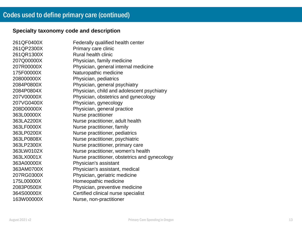### **Specialty taxonomy code and description**

| 261QF0400X | Federally qualified health center             |
|------------|-----------------------------------------------|
| 261QP2300X | Primary care clinic                           |
| 261QR1300X | <b>Rural health clinic</b>                    |
| 207Q00000X | Physician, family medicine                    |
| 207R00000X | Physician, general internal medicine          |
| 175F00000X | Naturopathic medicine                         |
| 208000000X | Physician, pediatrics                         |
| 2084P0800X | Physician, general psychiatry                 |
| 2084P0804X | Physician, child and adolescent psychiatry    |
| 207V00000X | Physician, obstetrics and gynecology          |
| 207VG0400X | Physician, gynecology                         |
| 208D00000X | Physician, general practice                   |
| 363L00000X | Nurse practitioner                            |
| 363LA2200X | Nurse practitioner, adult health              |
| 363LF0000X | Nurse practitioner, family                    |
| 363LP0200X | Nurse practitioner, pediatrics                |
| 363LP0808X | Nurse practitioner, psychiatric               |
| 363LP2300X | Nurse practitioner, primary care              |
| 363LW0102X | Nurse practitioner, women's health            |
| 363LX0001X | Nurse practitioner, obstetrics and gynecology |
| 363A00000X | Physician's assistant                         |
| 363AM0700X | Physician's assistant, medical                |
| 207RG0300X | Physician, geriatric medicine                 |
| 175L00000X | Homeopathic medicine                          |
| 2083P0500X | Physician, preventive medicine                |
| 364S00000X | Certified clinical nurse specialist           |
| 163W00000X | Nurse, non-practitioner                       |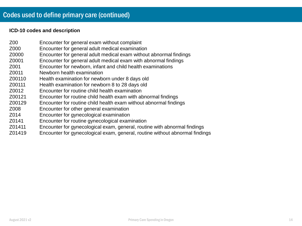#### **ICD-10 codes and description**

- Z00 Encounter for general exam without complaint
- Z000 Encounter for general adult medical examination
- Z0000 Encounter for general adult medical exam without abnormal findings
- Z0001 Encounter for general adult medical exam with abnormal findings
- Z001 Encounter for newborn, infant and child health examinations
- Z0011 Newborn health examination
- Z00110 Health examination for newborn under 8 days old
- Z00111 Health examination for newborn 8 to 28 days old
- Z0012 Encounter for routine child health examination
- Z00121 Encounter for routine child health exam with abnormal findings
- Z00129 Encounter for routine child health exam without abnormal findings
- Z008 Encounter for other general examination
- Z014 Encounter for gynecological examination
- Z0141 Encounter for routine gynecological examination
- Z01411 Encounter for gynecological exam, general, routine with abnormal findings
- Z01419 Encounter for gynecological exam, general, routine without abnormal findings